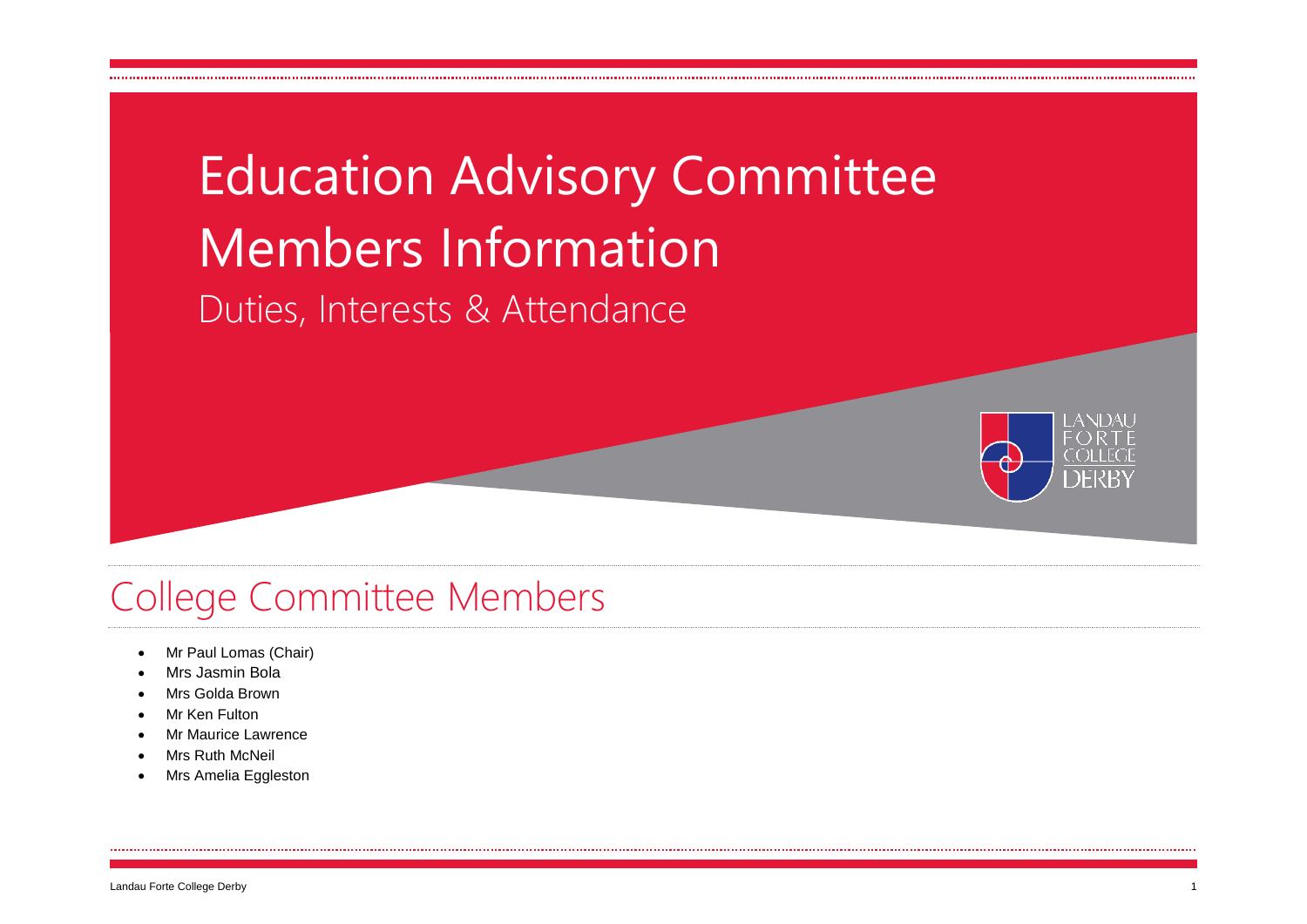# Education Advisory Committee Members Information

Duties, Interests & Attendance



## College Committee Members

- Mr Paul Lomas (Chair)
- Mrs Jasmin Bola
- Mrs Golda Brown
- Mr Ken Fulton
- Mr Maurice Lawrence
- Mrs Ruth McNeil
- Mrs Amelia Eggleston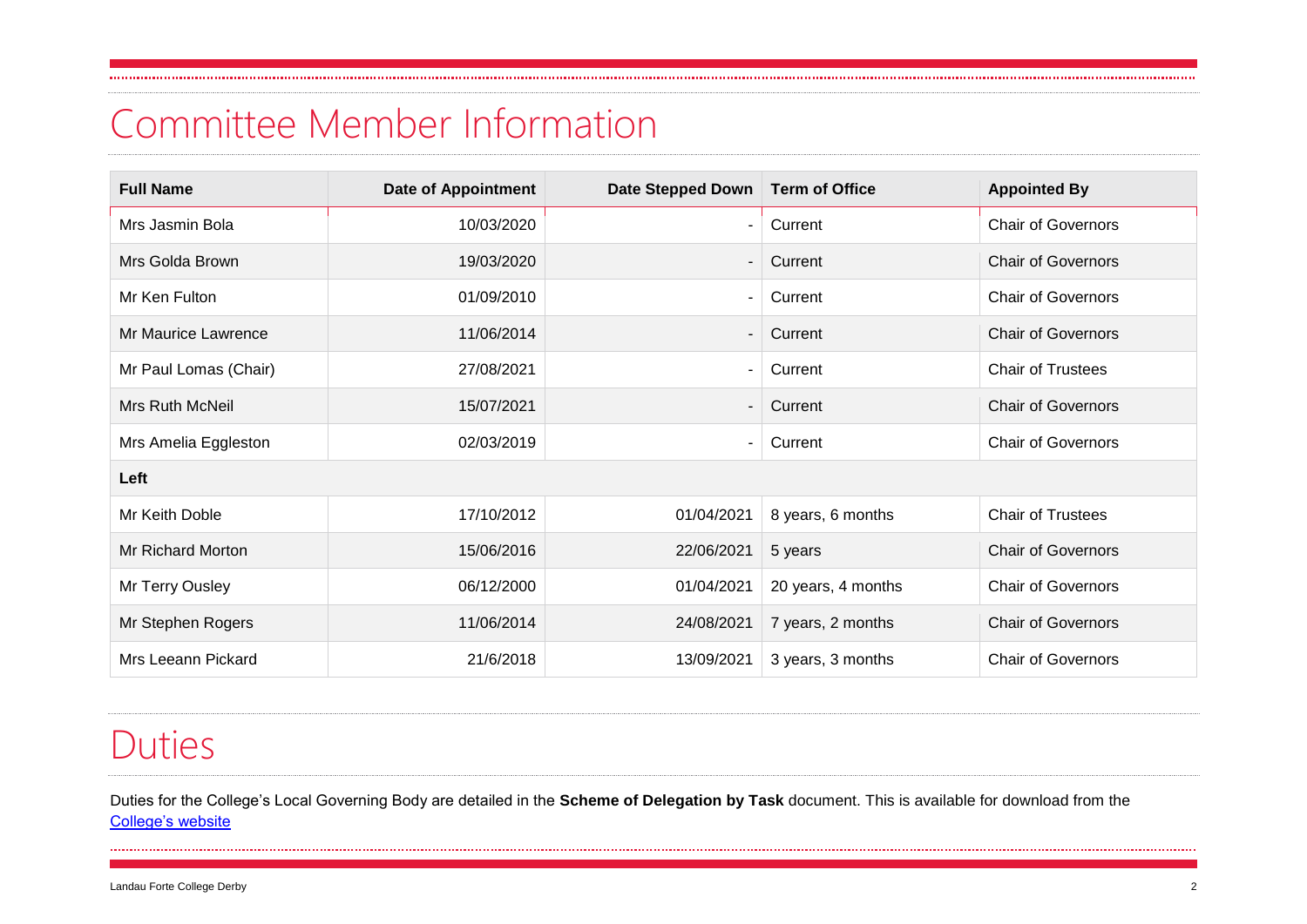## Committee Member Information

| <b>Full Name</b>         | <b>Date of Appointment</b> | Date Stepped Down | <b>Term of Office</b> | <b>Appointed By</b>       |  |  |  |  |  |
|--------------------------|----------------------------|-------------------|-----------------------|---------------------------|--|--|--|--|--|
| Mrs Jasmin Bola          | 10/03/2020                 |                   | Current               | <b>Chair of Governors</b> |  |  |  |  |  |
| Mrs Golda Brown          | 19/03/2020                 |                   | Current               | <b>Chair of Governors</b> |  |  |  |  |  |
| Mr Ken Fulton            | 01/09/2010                 |                   | Current               | <b>Chair of Governors</b> |  |  |  |  |  |
| Mr Maurice Lawrence      | 11/06/2014                 |                   | Current               | <b>Chair of Governors</b> |  |  |  |  |  |
| Mr Paul Lomas (Chair)    | 27/08/2021                 | $\blacksquare$    | Current               | Chair of Trustees         |  |  |  |  |  |
| Mrs Ruth McNeil          | 15/07/2021                 |                   | Current               | <b>Chair of Governors</b> |  |  |  |  |  |
| Mrs Amelia Eggleston     | 02/03/2019                 |                   | Current               | <b>Chair of Governors</b> |  |  |  |  |  |
| Left                     |                            |                   |                       |                           |  |  |  |  |  |
| Mr Keith Doble           | 17/10/2012                 | 01/04/2021        | 8 years, 6 months     | <b>Chair of Trustees</b>  |  |  |  |  |  |
| <b>Mr Richard Morton</b> | 15/06/2016                 | 22/06/2021        | 5 years               | <b>Chair of Governors</b> |  |  |  |  |  |
| Mr Terry Ousley          | 06/12/2000                 | 01/04/2021        | 20 years, 4 months    | <b>Chair of Governors</b> |  |  |  |  |  |
| Mr Stephen Rogers        | 11/06/2014                 | 24/08/2021        | 7 years, 2 months     | <b>Chair of Governors</b> |  |  |  |  |  |
| Mrs Leeann Pickard       | 21/6/2018                  | 13/09/2021        | 3 years, 3 months     | <b>Chair of Governors</b> |  |  |  |  |  |

#### Duties

Duties for the College's Local Governing Body are detailed in the **Scheme of Delegation by Task** document. This is available for download from the [College's website](http://www.landau-forte.org.uk/about/staff-governors/#governors)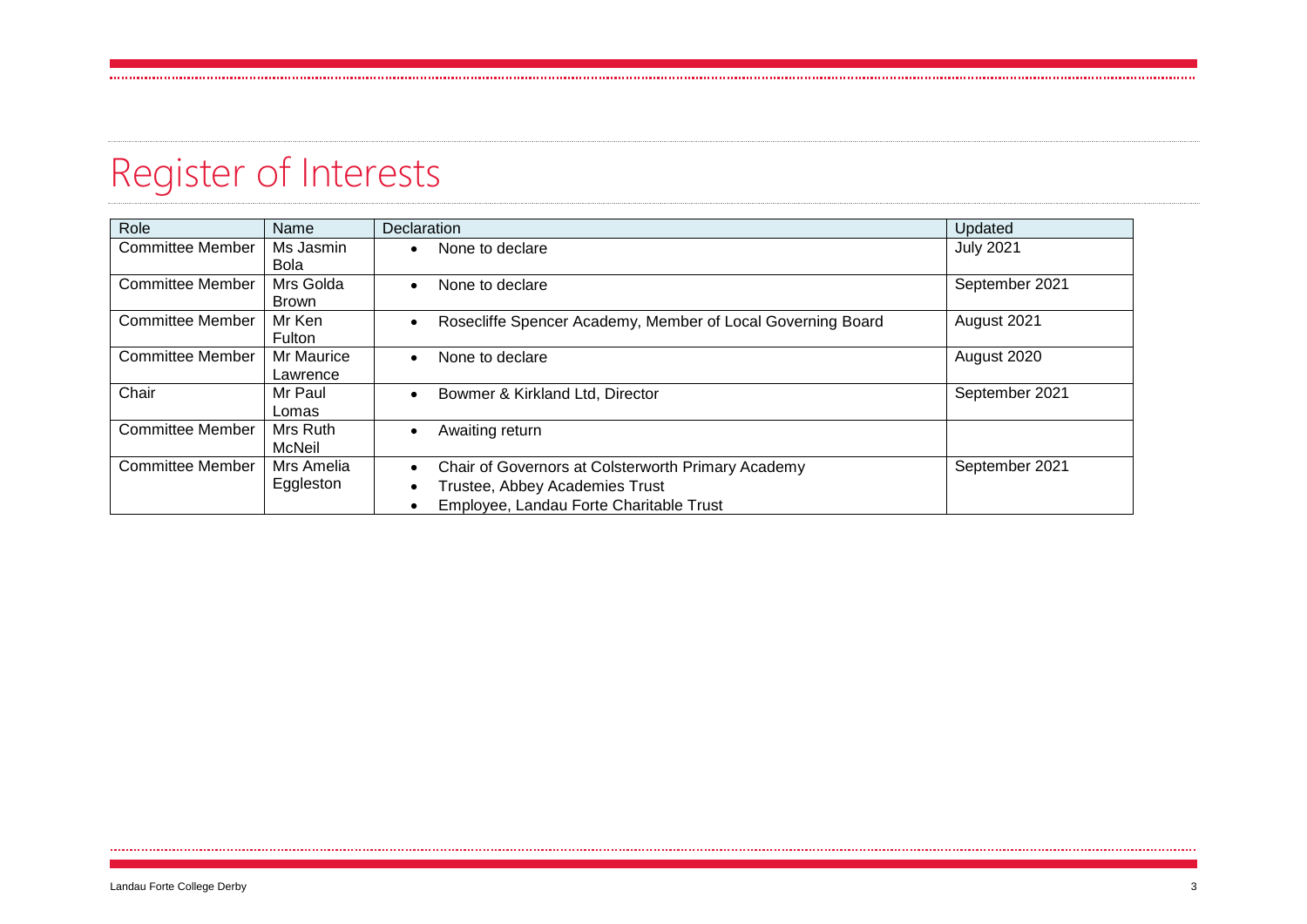# Register of Interests

| Role                    | Name                     | <b>Declaration</b>                                                                                                              | Updated          |
|-------------------------|--------------------------|---------------------------------------------------------------------------------------------------------------------------------|------------------|
| <b>Committee Member</b> | Ms Jasmin<br><b>Bola</b> | None to declare                                                                                                                 | <b>July 2021</b> |
| <b>Committee Member</b> | Mrs Golda<br>Brown       | None to declare<br>$\bullet$                                                                                                    | September 2021   |
| <b>Committee Member</b> | Mr Ken<br>Fulton         | Rosecliffe Spencer Academy, Member of Local Governing Board                                                                     | August 2021      |
| <b>Committee Member</b> | Mr Maurice<br>Lawrence   | None to declare<br>$\bullet$                                                                                                    | August 2020      |
| Chair                   | Mr Paul<br>Lomas         | Bowmer & Kirkland Ltd, Director<br>$\bullet$                                                                                    | September 2021   |
| <b>Committee Member</b> | Mrs Ruth<br>McNeil       | Awaiting return<br>$\bullet$                                                                                                    |                  |
| <b>Committee Member</b> | Mrs Amelia<br>Eggleston  | Chair of Governors at Colsterworth Primary Academy<br>Trustee, Abbey Academies Trust<br>Employee, Landau Forte Charitable Trust | September 2021   |